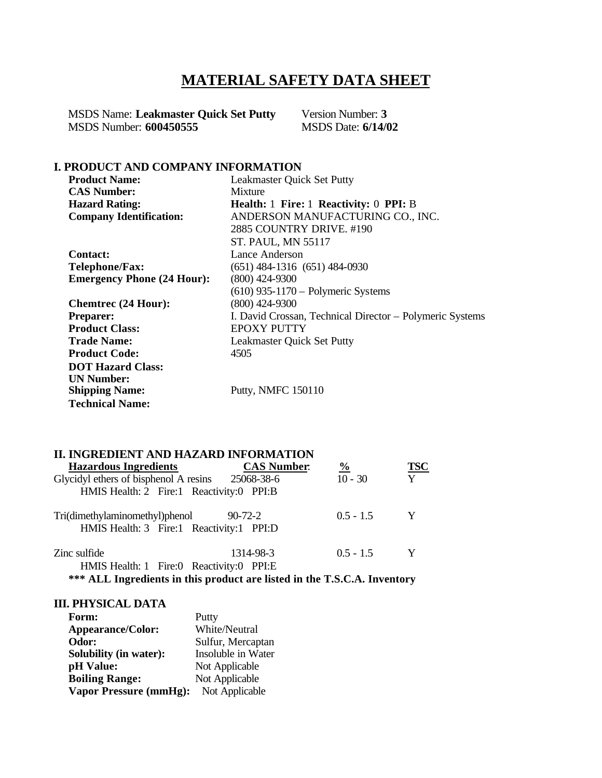# **MATERIAL SAFETY DATA SHEET**

MSDS Name: **Leakmaster Quick Set Putty** Version Number: 3<br>MSDS Number: 600450555<br>MSDS Date: 6/14/02 **MSDS Number: 600450555** 

# **I. PRODUCT AND COMPANY INFORMATION**

| <b>Product Name:</b>              | <b>Leakmaster Quick Set Putty</b>                        |
|-----------------------------------|----------------------------------------------------------|
| <b>CAS Number:</b>                | Mixture                                                  |
| <b>Hazard Rating:</b>             | <b>Health:</b> 1 Fire: 1 Reactivity: 0 PPI: B            |
| <b>Company Identification:</b>    | ANDERSON MANUFACTURING CO., INC.                         |
|                                   | 2885 COUNTRY DRIVE, #190                                 |
|                                   | ST. PAUL, MN 55117                                       |
| <b>Contact:</b>                   | Lance Anderson                                           |
| Telephone/Fax:                    | $(651)$ 484-1316 $(651)$ 484-0930                        |
| <b>Emergency Phone (24 Hour):</b> | $(800)$ 424-9300                                         |
|                                   | $(610)$ 935-1170 – Polymeric Systems                     |
| <b>Chemtrec (24 Hour):</b>        | $(800)$ 424-9300                                         |
| <b>Preparer:</b>                  | I. David Crossan, Technical Director – Polymeric Systems |
| <b>Product Class:</b>             | <b>EPOXY PUTTY</b>                                       |
| <b>Trade Name:</b>                | Leakmaster Quick Set Putty                               |
| <b>Product Code:</b>              | 4505                                                     |
| <b>DOT Hazard Class:</b>          |                                                          |
| <b>UN Number:</b>                 |                                                          |
| <b>Shipping Name:</b>             | Putty, NMFC 150110                                       |
| <b>Technical Name:</b>            |                                                          |

## **II. INGREDIENT AND HAZARD INFORMATION**

| <b>Hazardous Ingredients</b>                                               | <b>CAS Number:</b> | $\frac{0}{0}$ | TSC |
|----------------------------------------------------------------------------|--------------------|---------------|-----|
| Glycidyl ethers of bisphenol A resins 25068-38-6                           |                    | $10 - 30$     | Y   |
| HMIS Health: 2 Fire:1 Reactivity:0 PPI:B                                   |                    |               |     |
| Tri(dimethylaminomethyl)phenol<br>HMIS Health: 3 Fire:1 Reactivity:1 PPI:D | 90-72-2            | $0.5 - 1.5$   | Y   |
| Zinc sulfide<br>HMIS Health: 1 Fire:0 Reactivity:0 PPI:E                   | 1314-98-3          | $0.5 - 1.5$   | Y   |

**\*\*\* ALL Ingredients in this product are listed in the T.S.C.A. Inventory**

# **III. PHYSICAL DATA**

| Form:                         | Putty              |
|-------------------------------|--------------------|
| <b>Appearance/Color:</b>      | White/Neutral      |
| Odor:                         | Sulfur, Mercaptan  |
| Solubility (in water):        | Insoluble in Water |
| pH Value:                     | Not Applicable     |
| <b>Boiling Range:</b>         | Not Applicable     |
| <b>Vapor Pressure (mmHg):</b> | Not Applicable     |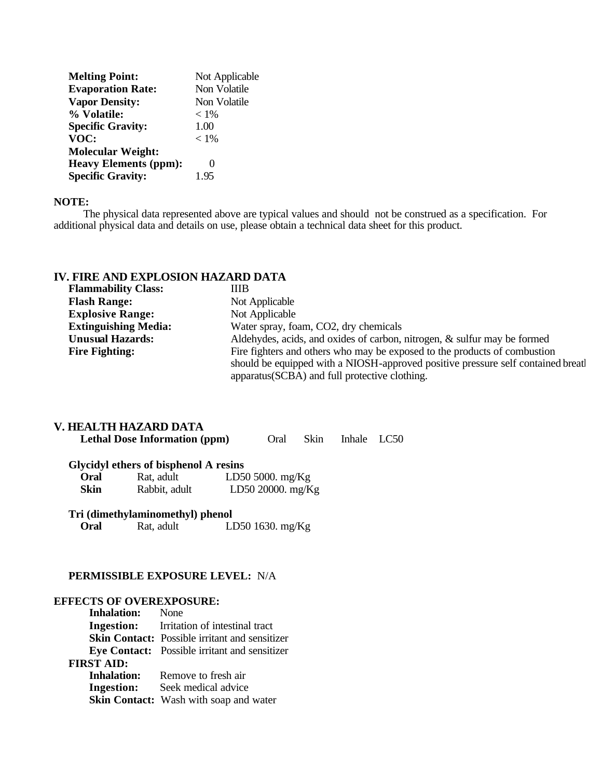| <b>Melting Point:</b>        | Not Applicable |
|------------------------------|----------------|
| <b>Evaporation Rate:</b>     | Non Volatile   |
| <b>Vapor Density:</b>        | Non Volatile   |
| % Volatile:                  | $< 1\%$        |
| <b>Specific Gravity:</b>     | 1.00           |
| VOC:                         | $< 1\%$        |
| <b>Molecular Weight:</b>     |                |
| <b>Heavy Elements (ppm):</b> |                |
| <b>Specific Gravity:</b>     | 195            |
|                              |                |

#### **NOTE:**

 The physical data represented above are typical values and should not be construed as a specification. For additional physical data and details on use, please obtain a technical data sheet for this product.

# **IV. FIRE AND EXPLOSION HAZARD DATA**

| <b>Flammability Class:</b>  | ШB                                                                               |
|-----------------------------|----------------------------------------------------------------------------------|
| <b>Flash Range:</b>         | Not Applicable                                                                   |
| <b>Explosive Range:</b>     | Not Applicable                                                                   |
| <b>Extinguishing Media:</b> | Water spray, foam, CO2, dry chemicals                                            |
| <b>Unusual Hazards:</b>     | Aldehydes, acids, and oxides of carbon, nitrogen, & sulfur may be formed         |
| <b>Fire Fighting:</b>       | Fire fighters and others who may be exposed to the products of combustion        |
|                             | should be equipped with a NIOSH-approved positive pressure self contained breatl |
|                             | apparatus (SCBA) and full protective clothing.                                   |

# **V. HEALTH HAZARD DATA**

|      | <b>Lethal Dose Information (ppm)</b>  |  | Oral                | <b>Skin</b> | Inhale LC50 |  |
|------|---------------------------------------|--|---------------------|-------------|-------------|--|
|      | Glycidyl ethers of bisphenol A resins |  |                     |             |             |  |
| Oral | Rat. adult                            |  | LD50 5000. $mg/Kg$  |             |             |  |
| Skin | Rabbit, adult                         |  | LD50 20000. $mg/Kg$ |             |             |  |

# **Tri (dimethylaminomethyl) phenol**

Rat, adult LD50 1630. mg/Kg

#### **PERMISSIBLE EXPOSURE LEVEL:** N/A

#### **EFFECTS OF OVEREXPOSURE:**

| <b>Inhalation:</b> None |                                                       |
|-------------------------|-------------------------------------------------------|
|                         | <b>Ingestion:</b> Irritation of intestinal tract      |
|                         | <b>Skin Contact:</b> Possible irritant and sensitizer |
|                         | Eye Contact: Possible irritant and sensitizer         |
| <b>FIRST AID:</b>       |                                                       |
| <b>Inhalation:</b>      | Remove to fresh air                                   |
| <b>Ingestion:</b>       | Seek medical advice                                   |
|                         | <b>Skin Contact:</b> Wash with soap and water         |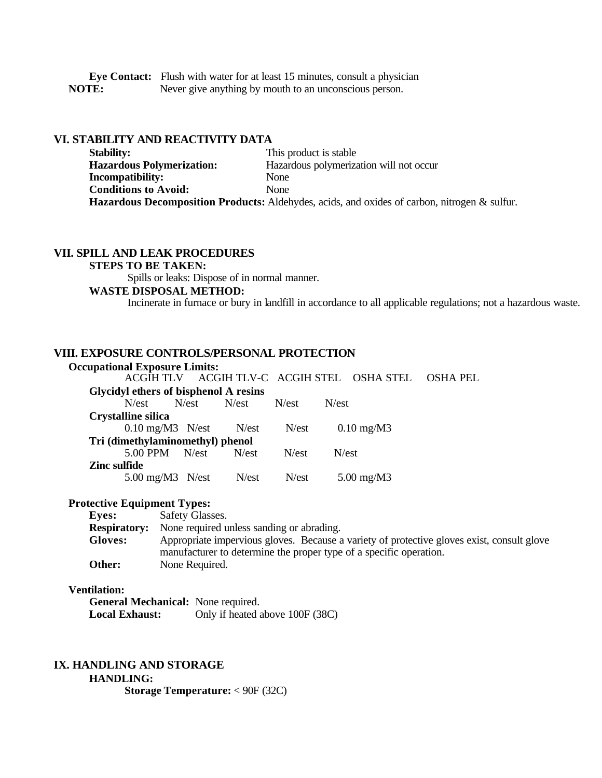**Eye Contact:** Flush with water for at least 15 minutes, consult a physician **NOTE:** Never give anything by mouth to an unconscious person.

## **VI. STABILITY AND REACTIVITY DATA**

**Stability:** This product is stable **Hazardous Polymerization:** Hazardous polymerization will not occur **Incompatibility:** None **Conditions to Avoid:** None **Hazardous Decomposition Products:** Aldehydes, acids, and oxides of carbon, nitrogen & sulfur.

#### **VII. SPILL AND LEAK PROCEDURES**

#### **STEPS TO BE TAKEN:**

Spills or leaks: Dispose of in normal manner.

#### **WASTE DISPOSAL METHOD:**

Incinerate in furnace or bury in landfill in accordance to all applicable regulations; not a hazardous waste.

#### **VIII. EXPOSURE CONTROLS/PERSONAL PROTECTION**

| <b>Occupational Exposure Limits:</b>  |  |                  |                  | ACGIH TLV ACGIH TLV-C ACGIH STEL OSHA STEL | <b>OSHA PEL</b> |
|---------------------------------------|--|------------------|------------------|--------------------------------------------|-----------------|
| Glycidyl ethers of bisphenol A resins |  |                  |                  |                                            |                 |
| N/est N/est N/est                     |  |                  | N/est            | N <sub>est</sub>                           |                 |
| Crystalline silica                    |  |                  |                  |                                            |                 |
| $0.10 \text{ mg/M}$ 3 N/est N/est     |  |                  | N <sub>est</sub> | $0.10$ mg/M3                               |                 |
| Tri (dimethylaminomethyl) phenol      |  |                  |                  |                                            |                 |
| $5.00$ PPM N/est                      |  | N/est            | N <sub>est</sub> | N/est                                      |                 |
| Zinc sulfide                          |  |                  |                  |                                            |                 |
| $5.00 \text{ mg}/\text{M}3$ N/est     |  | N <sub>est</sub> | N <sub>est</sub> | $5.00 \text{ mg}/\text{M}$ 3               |                 |

#### **Protective Equipment Types:**

 **Eyes:** Safety Glasses. **Respiratory:** None required unless sanding or abrading. **Gloves:** Appropriate impervious gloves. Because a variety of protective gloves exist, consult glove manufacturer to determine the proper type of a specific operation. **Other:** None Required.

#### **Ventilation:**

| <b>General Mechanical:</b> None required. |                                 |
|-------------------------------------------|---------------------------------|
| <b>Local Exhaust:</b>                     | Only if heated above 100F (38C) |

# **IX. HANDLING AND STORAGE**

### **HANDLING:**

**Storage Temperature:** < 90F (32C)